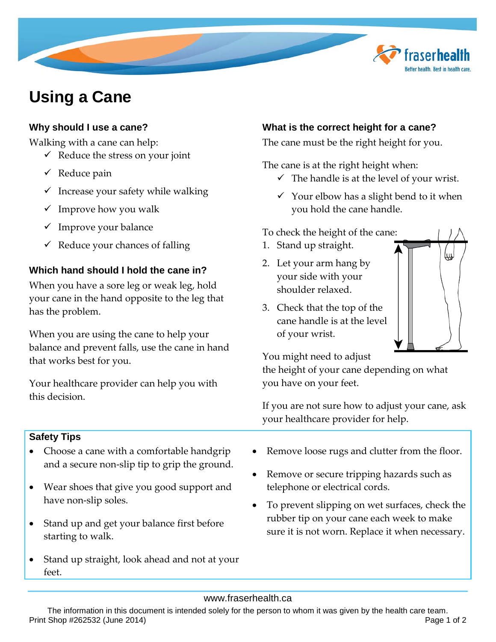# **Using a Cane**

## **Why should I use a cane?**

Walking with a cane can help:

- $\checkmark$  Reduce the stress on your joint
- $\checkmark$  Reduce pain
- $\checkmark$  Increase your safety while walking
- $\checkmark$  Improve how you walk
- $\checkmark$  Improve your balance
- $\checkmark$  Reduce your chances of falling

## **Which hand should I hold the cane in?**

When you have a sore leg or weak leg, hold your cane in the hand opposite to the leg that has the problem.

When you are using the cane to help your balance and prevent falls, use the cane in hand that works best for you.

Your healthcare provider can help you with this decision.

## **Safety Tips**

- Choose a cane with a comfortable handgrip and a secure non-slip tip to grip the ground.
- Wear shoes that give you good support and have non-slip soles.
- Stand up and get your balance first before starting to walk.
- Stand up straight, look ahead and not at your feet.

# **What is the correct height for a cane?**

The cane must be the right height for you.

The cane is at the right height when:

- $\checkmark$  The handle is at the level of your wrist.
- $\checkmark$  Your elbow has a slight bend to it when you hold the cane handle.

#### To check the height of the cane:

- 1. Stand up straight.
- 2. Let your arm hang by your side with your shoulder relaxed.
- 3. Check that the top of the cane handle is at the level of your wrist.



fraserhe

Better health. Best in health care

You might need to adjust

the height of your cane depending on what you have on your feet.

If you are not sure how to adjust your cane, ask your healthcare provider for help.

- Remove loose rugs and clutter from the floor.
- Remove or secure tripping hazards such as telephone or electrical cords.
- To prevent slipping on wet surfaces, check the rubber tip on your cane each week to make sure it is not worn. Replace it when necessary.

#### www.fraserhealth.ca

The information in this document is intended solely for the person to whom it was given by the health care team. Print Shop #262532 (June 2014) Page 1 of 2